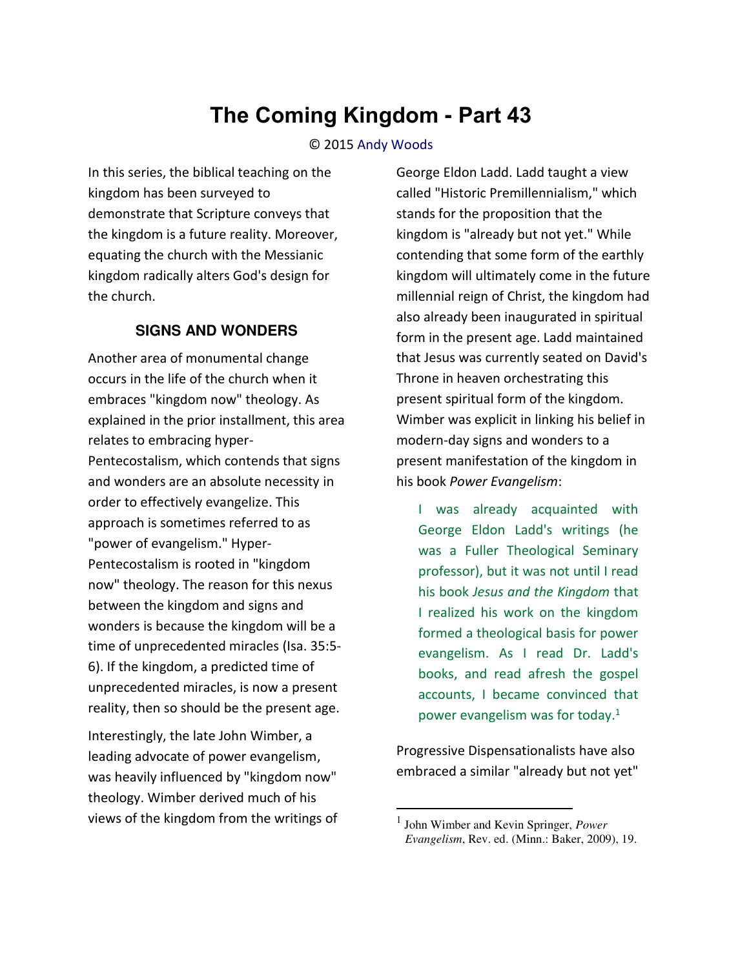# **The Coming Kingdom - Part 43**

#### © 2015 [Andy Woods](http://www.spiritandtruth.org/id/aw.htm)

In this series, the biblical teaching on the kingdom has been surveyed to demonstrate that Scripture conveys that the kingdom is a future reality. Moreover, equating the church with the Messianic kingdom radically alters God's design for the church.

### **SIGNS AND WONDERS**

Another area of monumental change occurs in the life of the church when it embraces "kingdom now" theology. As explained in the prior installment, this area relates to embracing hyper-Pentecostalism, which contends that signs and wonders are an absolute necessity in order to effectively evangelize. This approach is sometimes referred to as "power of evangelism." Hyper-Pentecostalism is rooted in "kingdom now" theology. The reason for this nexus between the kingdom and signs and wonders is because the kingdom will be a time of unprecedented miracles (Isa. 35:5- 6). If the kingdom, a predicted time of unprecedented miracles, is now a present reality, then so should be the present age.

Interestingly, the late John Wimber, a leading advocate of power evangelism, was heavily influenced by "kingdom now" theology. Wimber derived much of his views of the kingdom from the writings of George Eldon Ladd. Ladd taught a view called "Historic Premillennialism," which stands for the proposition that the kingdom is "already but not yet." While contending that some form of the earthly kingdom will ultimately come in the future millennial reign of Christ, the kingdom had also already been inaugurated in spiritual form in the present age. Ladd maintained that Jesus was currently seated on David's Throne in heaven orchestrating this present spiritual form of the kingdom. Wimber was explicit in linking his belief in modern-day signs and wonders to a present manifestation of the kingdom in his book *Power Evangelism*:

I was already acquainted with George Eldon Ladd's writings (he was a Fuller Theological Seminary professor), but it was not until I read his book *Jesus and the Kingdom* that I realized his work on the kingdom formed a theological basis for power evangelism. As I read Dr. Ladd's books, and read afresh the gospel accounts, I became convinced that power evangelism was for today. $1$ 

Progressive Dispensationalists have also embraced a similar "already but not yet"

<sup>1</sup> John Wimber and Kevin Springer, *Power Evangelism*, Rev. ed. (Minn.: Baker, 2009), 19.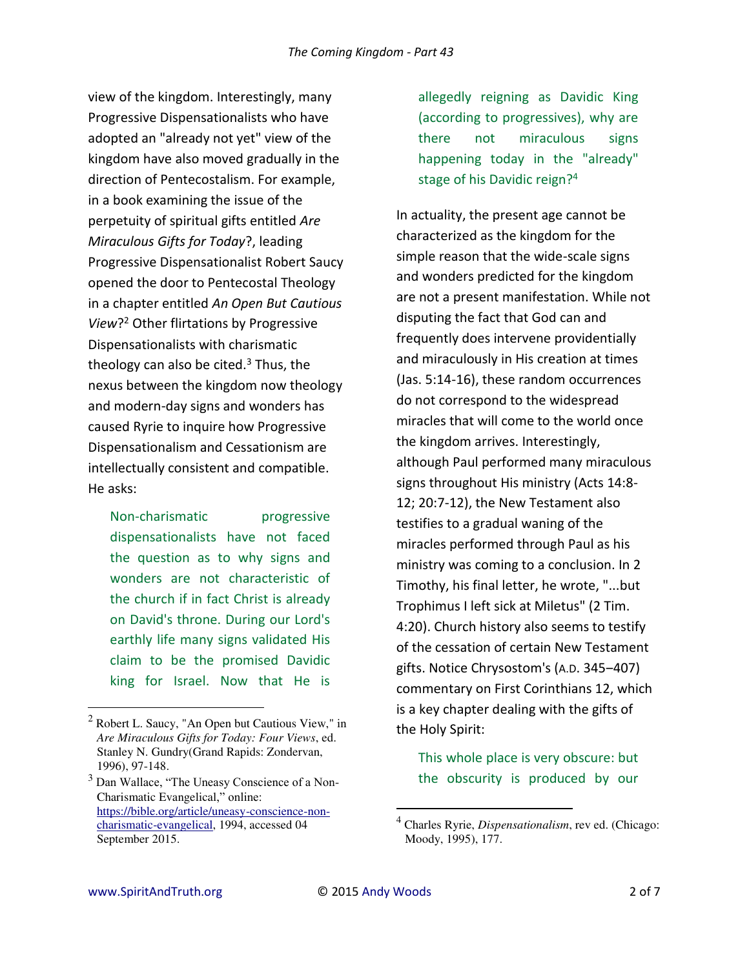view of the kingdom. Interestingly, many Progressive Dispensationalists who have adopted an "already not yet" view of the kingdom have also moved gradually in the direction of Pentecostalism. For example, in a book examining the issue of the perpetuity of spiritual gifts entitled *Are Miraculous Gifts for Today*?, leading Progressive Dispensationalist Robert Saucy opened the door to Pentecostal Theology in a chapter entitled *An Open But Cautious View*? 2 Other flirtations by Progressive Dispensationalists with charismatic theology can also be cited.<sup>3</sup> Thus, the nexus between the kingdom now theology and modern-day signs and wonders has caused Ryrie to inquire how Progressive Dispensationalism and Cessationism are intellectually consistent and compatible. He asks:

Non-charismatic progressive dispensationalists have not faced the question as to why signs and wonders are not characteristic of the church if in fact Christ is already on David's throne. During our Lord's earthly life many signs validated His claim to be the promised Davidic king for Israel. Now that He is

allegedly reigning as Davidic King (according to progressives), why are there not miraculous signs happening today in the "already" stage of his Davidic reign?<sup>4</sup>

In actuality, the present age cannot be characterized as the kingdom for the simple reason that the wide-scale signs and wonders predicted for the kingdom are not a present manifestation. While not disputing the fact that God can and frequently does intervene providentially and miraculously in His creation at times (Jas. 5:14-16), these random occurrences do not correspond to the widespread miracles that will come to the world once the kingdom arrives. Interestingly, although Paul performed many miraculous signs throughout His ministry (Acts 14:8- 12; 20:7-12), the New Testament also testifies to a gradual waning of the miracles performed through Paul as his ministry was coming to a conclusion. In 2 Timothy, his final letter, he wrote, "...but Trophimus I left sick at Miletus" (2 Tim. 4:20). Church history also seems to testify of the cessation of certain New Testament gifts. Notice Chrysostom's (A.D. 345–407) commentary on First Corinthians 12, which is a key chapter dealing with the gifts of the Holy Spirit:

This whole place is very obscure: but the obscurity is produced by our

l

<sup>&</sup>lt;sup>2</sup> Robert L. Saucy, "An Open but Cautious View," in *Are Miraculous Gifts for Today: Four Views*, ed. Stanley N. Gundry(Grand Rapids: Zondervan, 1996), 97-148.

 $3$  Dan Wallace, "The Uneasy Conscience of a Non-Charismatic Evangelical," online: [https://bible.org/article/uneasy-conscience-non](https://bible.org/article/uneasy-conscience-non-charismatic-evangelical)[charismatic-evangelical,](https://bible.org/article/uneasy-conscience-non-charismatic-evangelical) 1994, accessed 04 September 2015.

<sup>4</sup> Charles Ryrie, *Dispensationalism*, rev ed. (Chicago: Moody, 1995), 177.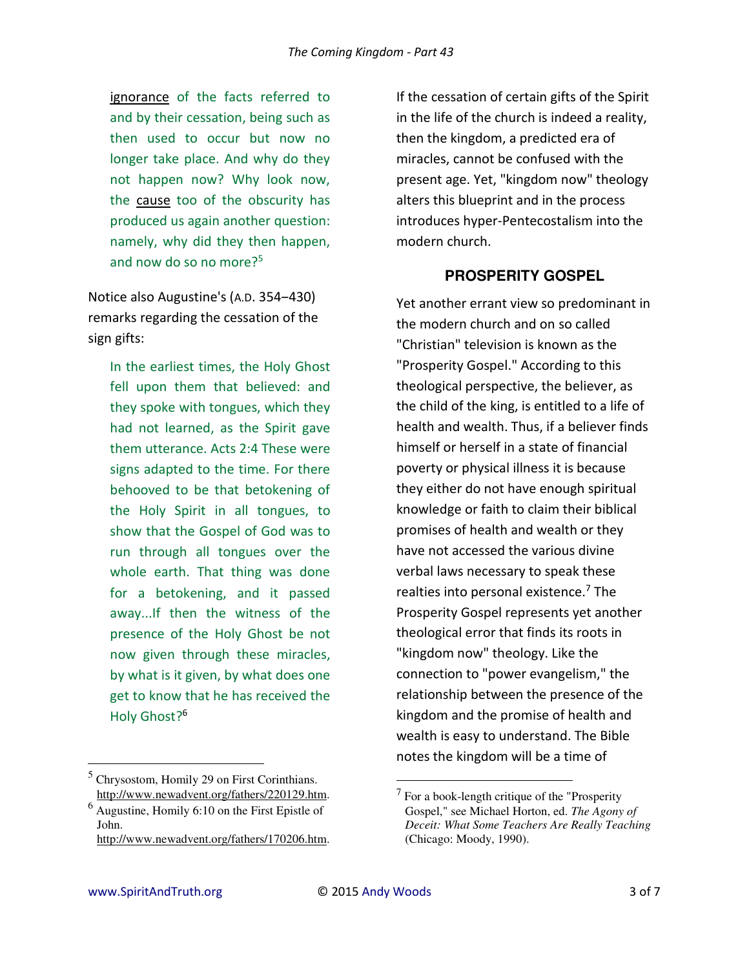[ignorance](http://www.newadvent.org/cathen/07648a.htm) of the facts referred to and by their cessation, being such as then used to occur but now no longer take place. And why do they not happen now? Why look now, the [cause](http://www.newadvent.org/cathen/03459a.htm) too of the obscurity has produced us again another question: namely, why did they then happen, and now do so no more? $5<sup>5</sup>$ 

Notice also Augustine's (A.D. 354-430) remarks regarding the cessation of the sign gifts:

In the earliest times, the [Holy Ghost](http://www.newadvent.org/cathen/07409a.htm)  fell upon them that [believed:](http://www.newadvent.org/cathen/02408b.htm) and they spoke with tongues, which they had not learned, as the Spirit gave them utterance. [Acts 2:4](http://www.newadvent.org/bible/act002.htm#verse4) These were signs adapted to the time. For there behooved to be that betokening of the [Holy Spirit](http://www.newadvent.org/cathen/07409a.htm) in all tongues, to show that the [Gospel](http://www.newadvent.org/cathen/06655b.htm) of God was to run through all tongues over the whole earth. That thing was done for a betokening, and it passed away...If then the [witness](http://www.newadvent.org/cathen/15677a.htm) of the presence of the [Holy Ghost](http://www.newadvent.org/cathen/07409a.htm) be not now given through these [miracles,](http://www.newadvent.org/cathen/10338a.htm) by what is it given, by what does one get to [know](http://www.newadvent.org/cathen/08673a.htm) that he has received the [Holy Ghost?](http://www.newadvent.org/cathen/07409a.htm)<sup>6</sup>

If the cessation of certain gifts of the Spirit in the life of the church is indeed a reality, then the kingdom, a predicted era of miracles, cannot be confused with the present age. Yet, "kingdom now" theology alters this blueprint and in the process introduces hyper-Pentecostalism into the modern church.

# **PROSPERITY GOSPEL**

Yet another errant view so predominant in the modern church and on so called "Christian" television is known as the "Prosperity Gospel." According to this theological perspective, the believer, as the child of the king, is entitled to a life of health and wealth. Thus, if a believer finds himself or herself in a state of financial poverty or physical illness it is because they either do not have enough spiritual knowledge or faith to claim their biblical promises of health and wealth or they have not accessed the various divine verbal laws necessary to speak these realties into personal existence.<sup>7</sup> The Prosperity Gospel represents yet another theological error that finds its roots in "kingdom now" theology. Like the connection to "power evangelism," the relationship between the presence of the kingdom and the promise of health and wealth is easy to understand. The Bible notes the kingdom will be a time of

 $\overline{\phantom{0}}$ 

<sup>5</sup> Chrysostom, Homily 29 on First Corinthians. [http://www.newadvent.org/fathers/220129.htm.](http://www.newadvent.org/fathers/220129.htm)

 $<sup>6</sup>$  Augustine, Homily 6:10 on the First Epistle of</sup> John. [http://www.newadvent.org/fathers/170206.htm.](http://www.newadvent.org/fathers/170206.htm)

 $7$  For a book-length critique of the "Prosperity" Gospel," see Michael Horton, ed. *The Agony of Deceit: What Some Teachers Are Really Teaching* (Chicago: Moody, 1990).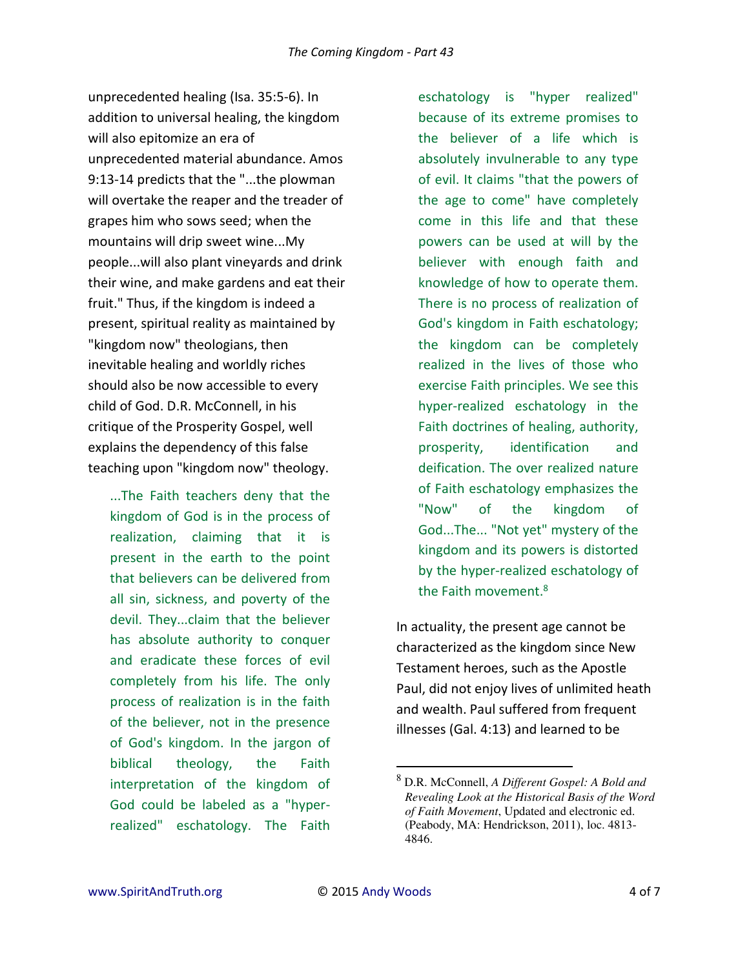unprecedented healing (Isa. 35:5-6). In addition to universal healing, the kingdom will also epitomize an era of unprecedented material abundance. Amos 9:13-14 predicts that the "...the plowman will overtake the reaper and the treader of grapes him who sows seed; when the mountains will drip sweet wine...My people...will also plant vineyards and drink their wine, and make gardens and eat their fruit." Thus, if the kingdom is indeed a present, spiritual reality as maintained by "kingdom now" theologians, then inevitable healing and worldly riches should also be now accessible to every child of God. D.R. McConnell, in his critique of the Prosperity Gospel, well explains the dependency of this false teaching upon "kingdom now" theology.

...The Faith teachers deny that the kingdom of God is in the process of realization, claiming that it is present in the earth to the point that believers can be delivered from all sin, sickness, and poverty of the devil. They...claim that the believer has absolute authority to conquer and eradicate these forces of evil completely from his life. The only process of realization is in the faith of the believer, not in the presence of God's kingdom. In the jargon of biblical theology, the Faith interpretation of the kingdom of God could be labeled as a "hyperrealized" eschatology. The Faith

eschatology is "hyper realized" because of its extreme promises to the believer of a life which is absolutely invulnerable to any type of evil. It claims "that the powers of the age to come" have completely come in this life and that these powers can be used at will by the believer with enough faith and knowledge of how to operate them. There is no process of realization of God's kingdom in Faith eschatology; the kingdom can be completely realized in the lives of those who exercise Faith principles. We see this hyper-realized eschatology in the Faith doctrines of healing, authority, prosperity, identification and deification. The over realized nature of Faith eschatology emphasizes the "Now" of the kingdom of God...The... "Not yet" mystery of the kingdom and its powers is distorted by the hyper-realized eschatology of the Faith movement.<sup>8</sup>

In actuality, the present age cannot be characterized as the kingdom since New Testament heroes, such as the Apostle Paul, did not enjoy lives of unlimited heath and wealth. Paul suffered from frequent illnesses (Gal. 4:13) and learned to be

l

<sup>8</sup> D.R. McConnell, *A Different Gospel: A Bold and Revealing Look at the Historical Basis of the Word of Faith Movement*, Updated and electronic ed. (Peabody, MA: Hendrickson, 2011), loc. 4813- 4846.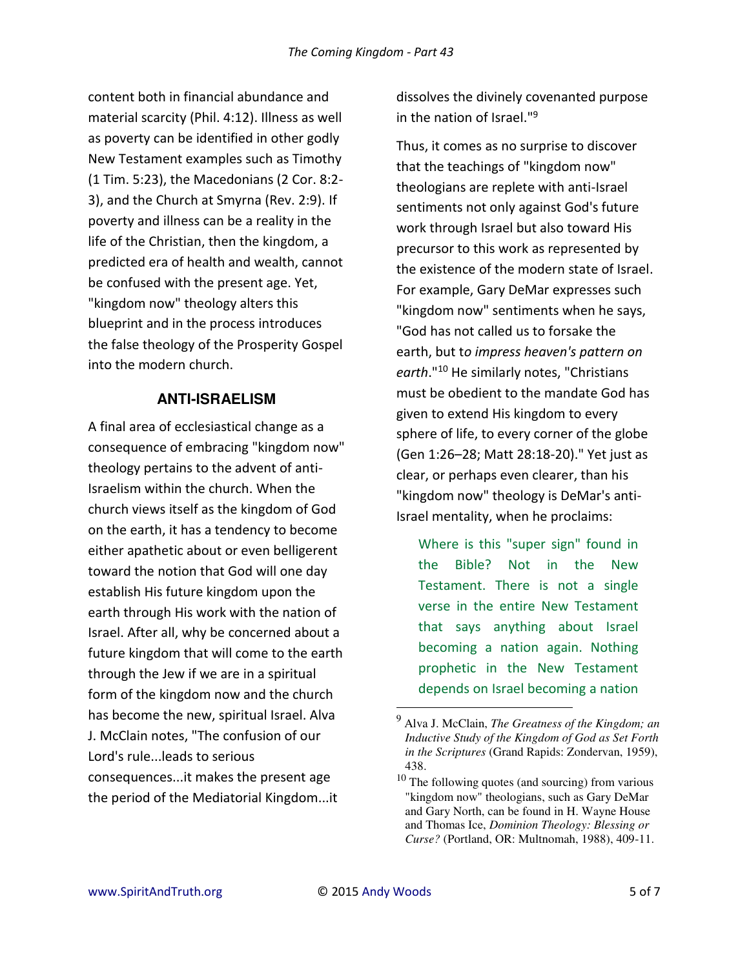content both in financial abundance and material scarcity (Phil. 4:12). Illness as well as poverty can be identified in other godly New Testament examples such as Timothy (1 Tim. 5:23), the Macedonians (2 Cor. 8:2- 3), and the Church at Smyrna (Rev. 2:9). If poverty and illness can be a reality in the life of the Christian, then the kingdom, a predicted era of health and wealth, cannot be confused with the present age. Yet, "kingdom now" theology alters this blueprint and in the process introduces the false theology of the Prosperity Gospel into the modern church.

## **ANTI-ISRAELISM**

A final area of ecclesiastical change as a consequence of embracing "kingdom now" theology pertains to the advent of anti-Israelism within the church. When the church views itself as the kingdom of God on the earth, it has a tendency to become either apathetic about or even belligerent toward the notion that God will one day establish His future kingdom upon the earth through His work with the nation of Israel. After all, why be concerned about a future kingdom that will come to the earth through the Jew if we are in a spiritual form of the kingdom now and the church has become the new, spiritual Israel. Alva J. McClain notes, "The confusion of our Lord's rule...leads to serious consequences...it makes the present age the period of the Mediatorial Kingdom...it

dissolves the divinely covenanted purpose in the nation of Israel."<sup>9</sup>

Thus, it comes as no surprise to discover that the teachings of "kingdom now" theologians are replete with anti-Israel sentiments not only against God's future work through Israel but also toward His precursor to this work as represented by the existence of the modern state of Israel. For example, Gary DeMar expresses such "kingdom now" sentiments when he says, "God has not called us to forsake the earth, but t*o impress heaven's pattern on earth*."<sup>10</sup> He similarly notes, "Christians must be obedient to the mandate God has given to extend His kingdom to every sphere of life, to every corner of the globe (Gen 1:26–28; Matt 28:18-20)." Yet just as clear, or perhaps even clearer, than his "kingdom now" theology is DeMar's anti-Israel mentality, when he proclaims:

Where is this "super sign" found in the Bible? Not in the New Testament. There is not a single verse in the entire New Testament that says anything about Israel becoming a nation again. Nothing prophetic in the New Testament depends on Israel becoming a nation

l

<sup>9</sup> Alva J. McClain, *The Greatness of the Kingdom; an Inductive Study of the Kingdom of God as Set Forth in the Scriptures* (Grand Rapids: Zondervan, 1959), 438.

 $10$  The following quotes (and sourcing) from various "kingdom now" theologians, such as Gary DeMar and Gary North, can be found in H. Wayne House and Thomas Ice, *Dominion Theology: Blessing or Curse?* (Portland, OR: Multnomah, 1988), 409-11.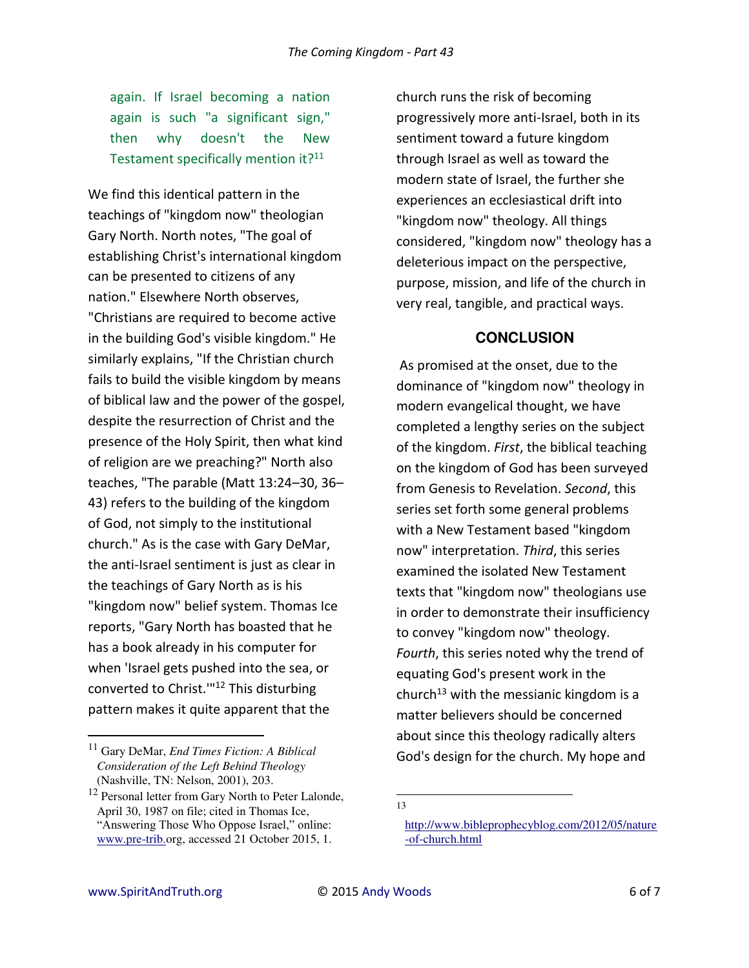again. If Israel becoming a nation again is such "a significant sign," then why doesn't the New Testament specifically mention it?<sup>11</sup>

We find this identical pattern in the teachings of "kingdom now" theologian Gary North. North notes, "The goal of establishing Christ's international kingdom can be presented to citizens of any nation." Elsewhere North observes, "Christians are required to become active in the building God's visible kingdom." He similarly explains, "If the Christian church fails to build the visible kingdom by means of biblical law and the power of the gospel, despite the resurrection of Christ and the presence of the Holy Spirit, then what kind of religion are we preaching?" North also teaches, "The parable (Matt 13:24–30, 36– 43) refers to the building of the kingdom of God, not simply to the institutional church." As is the case with Gary DeMar, the anti-Israel sentiment is just as clear in the teachings of Gary North as is his "kingdom now" belief system. Thomas Ice reports, "Gary North has boasted that he has a book already in his computer for when 'Israel gets pushed into the sea, or converted to Christ.'"<sup>12</sup> This disturbing pattern makes it quite apparent that the

church runs the risk of becoming progressively more anti-Israel, both in its sentiment toward a future kingdom through Israel as well as toward the modern state of Israel, the further she experiences an ecclesiastical drift into "kingdom now" theology. All things considered, "kingdom now" theology has a deleterious impact on the perspective, purpose, mission, and life of the church in very real, tangible, and practical ways.

## **CONCLUSION**

 As promised at the onset, due to the dominance of "kingdom now" theology in modern evangelical thought, we have completed a lengthy series on the subject of the kingdom. *First*, the biblical teaching on the kingdom of God has been surveyed from Genesis to Revelation. *Second*, this series set forth some general problems with a New Testament based "kingdom now" interpretation. *Third*, this series examined the isolated New Testament texts that "kingdom now" theologians use in order to demonstrate their insufficiency to convey "kingdom now" theology. *Fourth*, this series noted why the trend of equating God's present work in the church<sup>13</sup> with the messianic kingdom is a matter believers should be concerned about since this theology radically alters God's design for the church. My hope and

l 13

<sup>11</sup> Gary DeMar, *End Times Fiction: A Biblical Consideration of the Left Behind Theology* (Nashville, TN: Nelson, 2001), 203.

<sup>&</sup>lt;sup>12</sup> Personal letter from Gary North to Peter Lalonde, April 30, 1987 on file; cited in Thomas Ice, "Answering Those Who Oppose Israel," online: [www.pre-trib.o](http://www.soniclight.com/)rg, accessed 21 October 2015, 1.

[http://www.bibleprophecyblog.com/2012/05/nature](http://www.bibleprophecyblog.com/2012/05/nature-of-church.html) [-of-church.html](http://www.bibleprophecyblog.com/2012/05/nature-of-church.html)